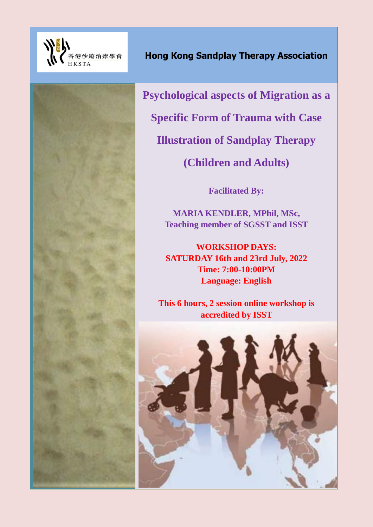

**Psychological aspects of Migration as a Specific Form of Trauma with Case Illustration of Sandplay Therapy (Children and Adults)**

**Facilitated By:**

**MARIA KENDLER, MPhil, MSc, Teaching member of SGSST and ISST**

**WORKSHOP DAYS: SATURDAY 16th and 23rd July, 2022 Time: 7:00-10:00PM Language: English**

**This 6 hours, 2 session online workshop is accredited by ISST**

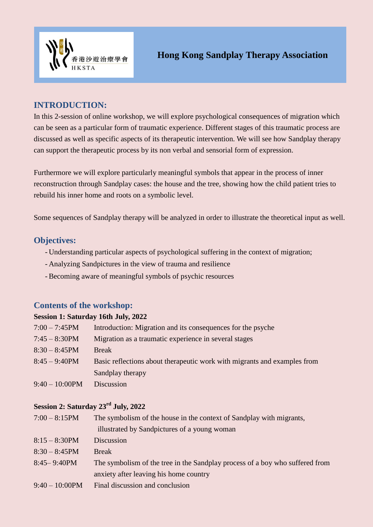

# **INTRODUCTION:**

In this 2-session of online workshop, we will explore psychological consequences of migration which can be seen as a particular form of traumatic experience. Different stages of this traumatic process are discussed as well as specific aspects of its therapeutic intervention. We will see how Sandplay therapy can support the therapeutic process by its non verbal and sensorial form of expression.

Furthermore we will explore particularly meaningful symbols that appear in the process of inner reconstruction through Sandplay cases: the house and the tree, showing how the child patient tries to rebuild his inner home and roots on a symbolic level.

Some sequences of Sandplay therapy will be analyzed in order to illustrate the theoretical input as well.

### **Objectives:**

- Understanding particular aspects of psychological suffering in the context of migration;
- Analyzing Sandpictures in the view of trauma and resilience
- Becoming aware of meaningful symbols of psychic resources

### **Contents of the workshop:**

#### **Session 1: Saturday 16th July, 2022**

| $7:00 - 7:45$ PM  | Introduction: Migration and its consequences for the psyche              |  |
|-------------------|--------------------------------------------------------------------------|--|
| $7:45 - 8:30$ PM  | Migration as a traumatic experience in several stages                    |  |
| $8:30 - 8:45$ PM  | <b>Break</b>                                                             |  |
| $8:45 - 9:40$ PM  | Basic reflections about therapeutic work with migrants and examples from |  |
|                   | Sandplay therapy                                                         |  |
| $9:40 - 10:00$ PM | Discussion                                                               |  |

## **Session 2: Saturday 23rd July, 2022**

| $7:00 - 8:15$ PM  | The symbolism of the house in the context of Sandplay with migrants,         |
|-------------------|------------------------------------------------------------------------------|
|                   | illustrated by Sandpictures of a young woman                                 |
| $8:15 - 8:30$ PM  | Discussion                                                                   |
| $8:30 - 8:45$ PM  | <b>Break</b>                                                                 |
| $8:45 - 9:40$ PM  | The symbolism of the tree in the Sandplay process of a boy who suffered from |
|                   | anxiety after leaving his home country                                       |
| $9:40 - 10:00$ PM | Final discussion and conclusion                                              |